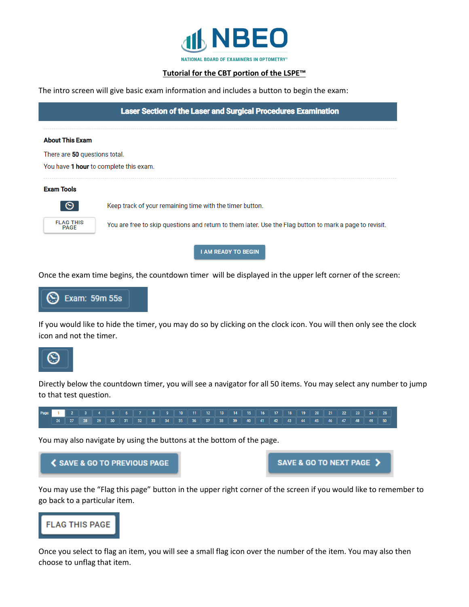

## **Tutorial for the CBT portion of the LSPE™**

The intro screen will give basic exam information and includes a button to begin the exam:

**Laser Section of the Laser and Surgical Procedures Examination** 

**About This Exam** 

There are 50 questions total.

You have 1 hour to complete this exam.

## **Exam Tools**



Keep track of your remaining time with the timer button.

You are free to skip questions and return to them later. Use the Flag button to mark a page to revisit.

**I AM READY TO BEGIN** 

Once the exam time begins, the countdown timer will be displayed in the upper left corner of the screen:



If you would like to hide the timer, you may do so by clicking on the clock icon. You will then only see the clock icon and not the timer.



Directly below the countdown timer, you will see a navigator for all 50 items. You may select any number to jump to that test question.



You may also navigate by using the buttons at the bottom of the page.

**く SAVE & GO TO PREVIOUS PAGE** 

SAVE & GO TO NEXT PAGE >

You may use the "Flag this page" button in the upper right corner of the screen if you would like to remember to go back to a particular item.



Once you select to flag an item, you will see a small flag icon over the number of the item. You may also then choose to unflag that item.